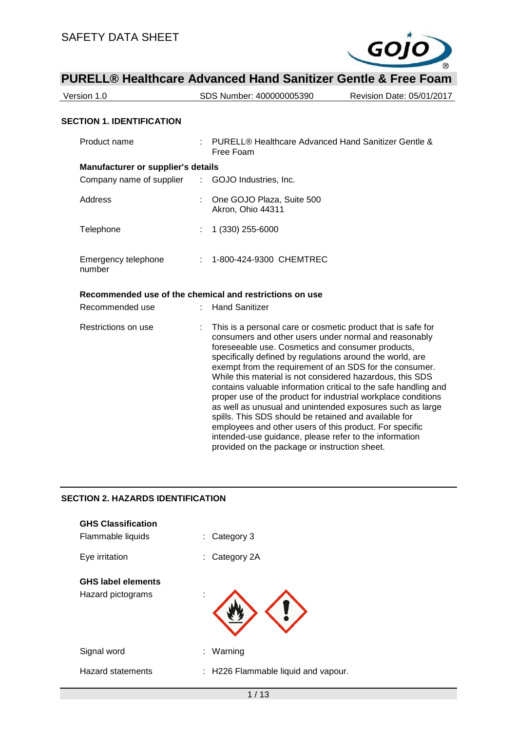

| <u>I UNLLLW HOMINGIO AUVANCOU HANU JAMINZOI UCHNO O I IGO I UANI</u> |                                                                                                                                                                                                                                    |                                                                                                                                                                                                                                                                                                                                                                                                                                                |  |  |  |
|----------------------------------------------------------------------|------------------------------------------------------------------------------------------------------------------------------------------------------------------------------------------------------------------------------------|------------------------------------------------------------------------------------------------------------------------------------------------------------------------------------------------------------------------------------------------------------------------------------------------------------------------------------------------------------------------------------------------------------------------------------------------|--|--|--|
| Version 1.0                                                          | SDS Number: 400000005390                                                                                                                                                                                                           | Revision Date: 05/01/2017                                                                                                                                                                                                                                                                                                                                                                                                                      |  |  |  |
|                                                                      |                                                                                                                                                                                                                                    |                                                                                                                                                                                                                                                                                                                                                                                                                                                |  |  |  |
| <b>SECTION 1. IDENTIFICATION</b>                                     |                                                                                                                                                                                                                                    |                                                                                                                                                                                                                                                                                                                                                                                                                                                |  |  |  |
| Product name                                                         | Free Foam                                                                                                                                                                                                                          | PURELL® Healthcare Advanced Hand Sanitizer Gentle &                                                                                                                                                                                                                                                                                                                                                                                            |  |  |  |
| <b>Manufacturer or supplier's details</b>                            |                                                                                                                                                                                                                                    |                                                                                                                                                                                                                                                                                                                                                                                                                                                |  |  |  |
| Company name of supplier                                             | GOJO Industries, Inc.<br>÷.                                                                                                                                                                                                        |                                                                                                                                                                                                                                                                                                                                                                                                                                                |  |  |  |
| Address                                                              | One GOJO Plaza, Suite 500<br>Akron, Ohio 44311                                                                                                                                                                                     |                                                                                                                                                                                                                                                                                                                                                                                                                                                |  |  |  |
| Telephone                                                            | 1 (330) 255-6000                                                                                                                                                                                                                   |                                                                                                                                                                                                                                                                                                                                                                                                                                                |  |  |  |
| Emergency telephone<br>number                                        | 1-800-424-9300 CHEMTREC                                                                                                                                                                                                            |                                                                                                                                                                                                                                                                                                                                                                                                                                                |  |  |  |
|                                                                      | Recommended use of the chemical and restrictions on use                                                                                                                                                                            |                                                                                                                                                                                                                                                                                                                                                                                                                                                |  |  |  |
| Recommended use                                                      | <b>Hand Sanitizer</b>                                                                                                                                                                                                              |                                                                                                                                                                                                                                                                                                                                                                                                                                                |  |  |  |
| Restrictions on use                                                  | foreseeable use. Cosmetics and consumer products,<br>specifically defined by regulations around the world, are<br>spills. This SDS should be retained and available for<br>employees and other users of this product. For specific | This is a personal care or cosmetic product that is safe for<br>consumers and other users under normal and reasonably<br>exempt from the requirement of an SDS for the consumer.<br>While this material is not considered hazardous, this SDS<br>contains valuable information critical to the safe handling and<br>proper use of the product for industrial workplace conditions<br>as well as unusual and unintended exposures such as large |  |  |  |

intended-use guidance, please refer to the information

provided on the package or instruction sheet.

#### **SECTION 2. HAZARDS IDENTIFICATION**

| <b>GHS Classification</b><br>Flammable liquids | Category 3<br>t.                    |
|------------------------------------------------|-------------------------------------|
| Eye irritation                                 | : Category 2A                       |
| <b>GHS label elements</b><br>Hazard pictograms | ٠<br>×                              |
| Signal word                                    | Warning<br>÷.                       |
| Hazard statements                              | : H226 Flammable liquid and vapour. |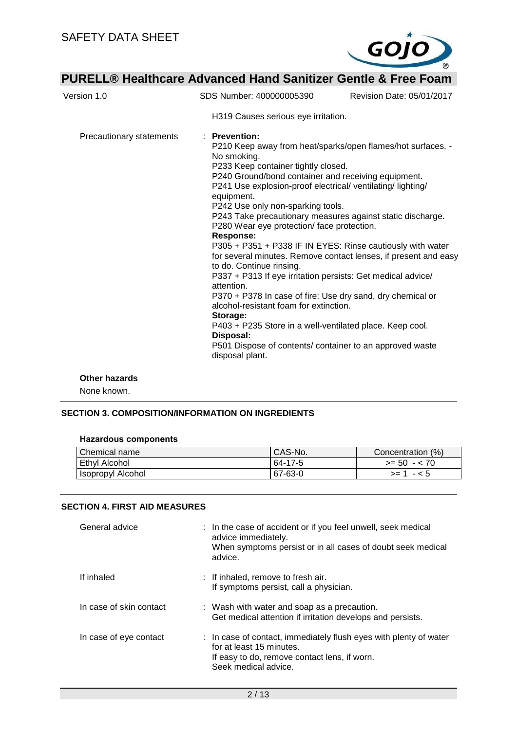

| Version 1.0              | SDS Number: 400000005390                                                                                                                                                                                                                                                                                                                                                                                                                                                                                                                                                                                                                                                                                                                                                                                                                                                                                                                                       | Revision Date: 05/01/2017 |  |  |
|--------------------------|----------------------------------------------------------------------------------------------------------------------------------------------------------------------------------------------------------------------------------------------------------------------------------------------------------------------------------------------------------------------------------------------------------------------------------------------------------------------------------------------------------------------------------------------------------------------------------------------------------------------------------------------------------------------------------------------------------------------------------------------------------------------------------------------------------------------------------------------------------------------------------------------------------------------------------------------------------------|---------------------------|--|--|
|                          | H319 Causes serious eye irritation.                                                                                                                                                                                                                                                                                                                                                                                                                                                                                                                                                                                                                                                                                                                                                                                                                                                                                                                            |                           |  |  |
| Precautionary statements | · Prevention:<br>P210 Keep away from heat/sparks/open flames/hot surfaces. -<br>No smoking.<br>P233 Keep container tightly closed.<br>P240 Ground/bond container and receiving equipment.<br>P241 Use explosion-proof electrical/ventilating/lighting/<br>equipment.<br>P242 Use only non-sparking tools.<br>P243 Take precautionary measures against static discharge.<br>P280 Wear eye protection/face protection.<br><b>Response:</b><br>P305 + P351 + P338 IF IN EYES: Rinse cautiously with water<br>for several minutes. Remove contact lenses, if present and easy<br>to do. Continue rinsing.<br>P337 + P313 If eye irritation persists: Get medical advice/<br>attention.<br>P370 + P378 In case of fire: Use dry sand, dry chemical or<br>alcohol-resistant foam for extinction.<br>Storage:<br>P403 + P235 Store in a well-ventilated place. Keep cool.<br>Disposal:<br>P501 Dispose of contents/ container to an approved waste<br>disposal plant. |                           |  |  |
|                          |                                                                                                                                                                                                                                                                                                                                                                                                                                                                                                                                                                                                                                                                                                                                                                                                                                                                                                                                                                |                           |  |  |

#### **Other hazards**

None known.

#### **SECTION 3. COMPOSITION/INFORMATION ON INGREDIENTS**

| Chemical name     | CAS-No. | Concentration (%) |
|-------------------|---------|-------------------|
| Ethyl Alcohol     | 64-17-5 | $>= 50 - 70$      |
| Isopropyl Alcohol | 67-63-0 | $- 5$<br>$>= 1$   |

#### **SECTION 4. FIRST AID MEASURES**

| General advice          | : In the case of accident or if you feel unwell, seek medical<br>advice immediately.<br>When symptoms persist or in all cases of doubt seek medical<br>advice.        |  |
|-------------------------|-----------------------------------------------------------------------------------------------------------------------------------------------------------------------|--|
| If inhaled              | : If inhaled, remove to fresh air.<br>If symptoms persist, call a physician.                                                                                          |  |
| In case of skin contact | : Wash with water and soap as a precaution.<br>Get medical attention if irritation develops and persists.                                                             |  |
| In case of eye contact  | : In case of contact, immediately flush eyes with plenty of water<br>for at least 15 minutes.<br>If easy to do, remove contact lens, if worn.<br>Seek medical advice. |  |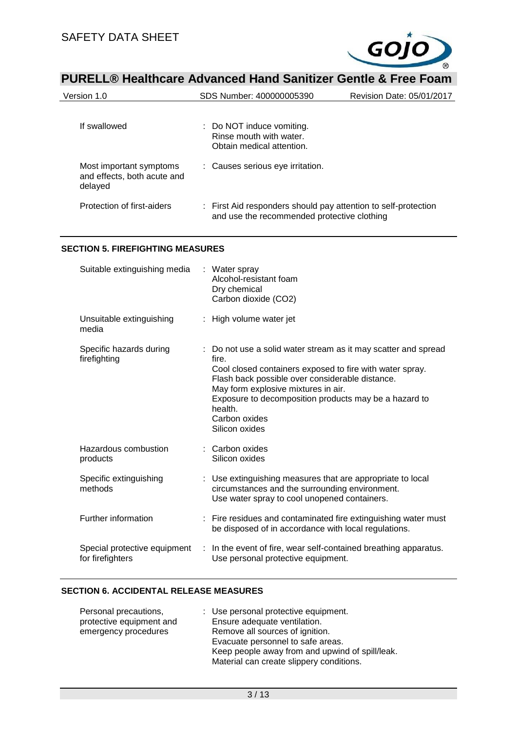

| Version 1.0                                                       | SDS Number: 400000005390                                                                                      | Revision Date: 05/01/2017 |
|-------------------------------------------------------------------|---------------------------------------------------------------------------------------------------------------|---------------------------|
| If swallowed                                                      | : Do NOT induce vomiting.<br>Rinse mouth with water.<br>Obtain medical attention.                             |                           |
| Most important symptoms<br>and effects, both acute and<br>delayed | : Causes serious eye irritation.                                                                              |                           |
| Protection of first-aiders                                        | : First Aid responders should pay attention to self-protection<br>and use the recommended protective clothing |                           |

#### **SECTION 5. FIREFIGHTING MEASURES**

| Suitable extinguishing media                     | : Water spray<br>Alcohol-resistant foam<br>Dry chemical<br>Carbon dioxide (CO2)                                                                                                                                                                                                                                                    |
|--------------------------------------------------|------------------------------------------------------------------------------------------------------------------------------------------------------------------------------------------------------------------------------------------------------------------------------------------------------------------------------------|
| Unsuitable extinguishing<br>media                | : High volume water jet                                                                                                                                                                                                                                                                                                            |
| Specific hazards during<br>firefighting          | Do not use a solid water stream as it may scatter and spread<br>fire.<br>Cool closed containers exposed to fire with water spray.<br>Flash back possible over considerable distance.<br>May form explosive mixtures in air.<br>Exposure to decomposition products may be a hazard to<br>health.<br>Carbon oxides<br>Silicon oxides |
| Hazardous combustion<br>products                 | : Carbon oxides<br>Silicon oxides                                                                                                                                                                                                                                                                                                  |
| Specific extinguishing<br>methods                | : Use extinguishing measures that are appropriate to local<br>circumstances and the surrounding environment.<br>Use water spray to cool unopened containers.                                                                                                                                                                       |
| Further information                              | : Fire residues and contaminated fire extinguishing water must<br>be disposed of in accordance with local regulations.                                                                                                                                                                                                             |
| Special protective equipment<br>for firefighters | : In the event of fire, wear self-contained breathing apparatus.<br>Use personal protective equipment.                                                                                                                                                                                                                             |

#### **SECTION 6. ACCIDENTAL RELEASE MEASURES**

| : Use personal protective equipment.            |
|-------------------------------------------------|
| Ensure adequate ventilation.                    |
| Remove all sources of ignition.                 |
| Evacuate personnel to safe areas.               |
| Keep people away from and upwind of spill/leak. |
| Material can create slippery conditions.        |
|                                                 |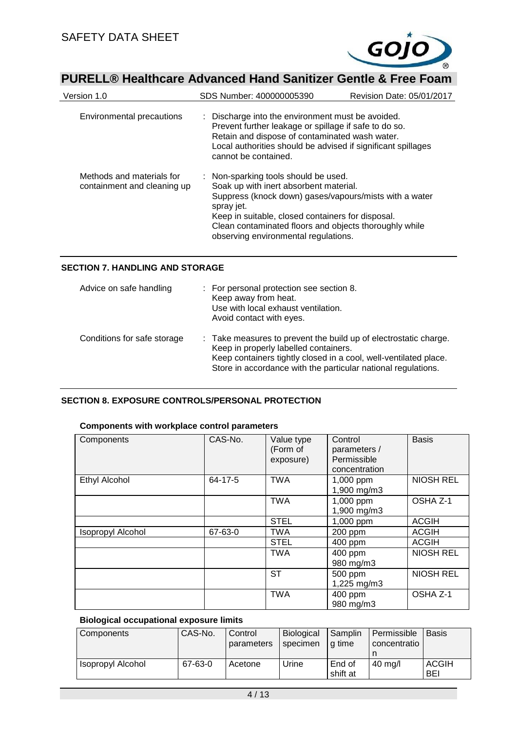

| Version 1.0                                              | SDS Number: 400000005390                                                                                                                                                                                                                                                                                      | Revision Date: 05/01/2017 |  |
|----------------------------------------------------------|---------------------------------------------------------------------------------------------------------------------------------------------------------------------------------------------------------------------------------------------------------------------------------------------------------------|---------------------------|--|
| <b>Environmental precautions</b>                         | : Discharge into the environment must be avoided.<br>Prevent further leakage or spillage if safe to do so.<br>Retain and dispose of contaminated wash water.<br>Local authorities should be advised if significant spillages<br>cannot be contained.                                                          |                           |  |
| Methods and materials for<br>containment and cleaning up | : Non-sparking tools should be used.<br>Soak up with inert absorbent material.<br>Suppress (knock down) gases/vapours/mists with a water<br>spray jet.<br>Keep in suitable, closed containers for disposal.<br>Clean contaminated floors and objects thoroughly while<br>observing environmental regulations. |                           |  |

#### **SECTION 7. HANDLING AND STORAGE**

| Advice on safe handling     | : For personal protection see section 8.<br>Keep away from heat.<br>Use with local exhaust ventilation.<br>Avoid contact with eyes.                                                                                                            |
|-----------------------------|------------------------------------------------------------------------------------------------------------------------------------------------------------------------------------------------------------------------------------------------|
| Conditions for safe storage | : Take measures to prevent the build up of electrostatic charge.<br>Keep in properly labelled containers.<br>Keep containers tightly closed in a cool, well-ventilated place.<br>Store in accordance with the particular national regulations. |

### **SECTION 8. EXPOSURE CONTROLS/PERSONAL PROTECTION**

#### **Components with workplace control parameters**

| Components               | CAS-No. | Value type<br>(Form of<br>exposure) | Control<br>parameters /<br>Permissible<br>concentration | <b>Basis</b>     |
|--------------------------|---------|-------------------------------------|---------------------------------------------------------|------------------|
| Ethyl Alcohol            | 64-17-5 | <b>TWA</b>                          | 1,000 ppm<br>1,900 mg/m3                                | <b>NIOSH REL</b> |
|                          |         | <b>TWA</b>                          | 1,000 ppm<br>1,900 mg/m3                                | OSHA Z-1         |
|                          |         | <b>STEL</b>                         | 1,000 ppm                                               | <b>ACGIH</b>     |
| <b>Isopropyl Alcohol</b> | 67-63-0 | <b>TWA</b>                          | 200 ppm                                                 | <b>ACGIH</b>     |
|                          |         | <b>STEL</b>                         | 400 ppm                                                 | <b>ACGIH</b>     |
|                          |         | <b>TWA</b>                          | 400 ppm<br>980 mg/m3                                    | <b>NIOSH REL</b> |
|                          |         | ST                                  | 500 ppm<br>1,225 mg/m3                                  | <b>NIOSH REL</b> |
|                          |         | <b>TWA</b>                          | 400 ppm<br>980 mg/m3                                    | OSHA Z-1         |

#### **Biological occupational exposure limits**

| Components        | CAS-No. | Control<br>parameters | <b>Biological</b><br>specimen | Samplin<br>l a time | Permissible<br>concentratio | <b>Basis</b>        |
|-------------------|---------|-----------------------|-------------------------------|---------------------|-----------------------------|---------------------|
| Isopropyl Alcohol | 67-63-0 | Acetone               | Urine                         | End of<br>shift at  | $40 \text{ mg/l}$           | <b>ACGIH</b><br>BEI |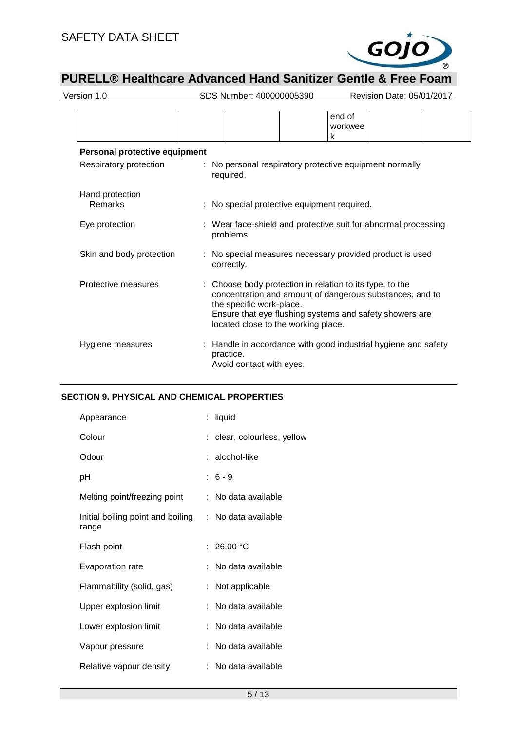

| Version 1.0                   | SDS Number: 400000005390                                                                                                                                                               | Revision Date: 05/01/2017                                      |
|-------------------------------|----------------------------------------------------------------------------------------------------------------------------------------------------------------------------------------|----------------------------------------------------------------|
|                               |                                                                                                                                                                                        | end of<br>workwee<br>k                                         |
| Personal protective equipment |                                                                                                                                                                                        |                                                                |
| Respiratory protection        | : No personal respiratory protective equipment normally<br>required.                                                                                                                   |                                                                |
| Hand protection<br>Remarks    | : No special protective equipment required.                                                                                                                                            |                                                                |
| Eye protection                | : Wear face-shield and protective suit for abnormal processing<br>problems.                                                                                                            |                                                                |
| Skin and body protection      | : No special measures necessary provided product is used<br>correctly.                                                                                                                 |                                                                |
| Protective measures           | : Choose body protection in relation to its type, to the<br>the specific work-place.<br>Ensure that eye flushing systems and safety showers are<br>located close to the working place. | concentration and amount of dangerous substances, and to       |
| Hygiene measures              | practice.<br>Avoid contact with eyes.                                                                                                                                                  | : Handle in accordance with good industrial hygiene and safety |

#### **SECTION 9. PHYSICAL AND CHEMICAL PROPERTIES**

| Appearance                                 | liquid                      |
|--------------------------------------------|-----------------------------|
| Colour                                     | : clear, colourless, yellow |
| Odour                                      | : alcohol-like              |
| рH                                         | $: 6 - 9$                   |
| Melting point/freezing point               | : No data available         |
| Initial boiling point and boiling<br>range | : No data available         |
| Flash point                                | : $26.00 °C$                |
| Evaporation rate                           | : No data available         |
| Flammability (solid, gas)                  | : Not applicable            |
| Upper explosion limit                      | : No data available         |
| Lower explosion limit                      | No data available           |
| Vapour pressure                            | No data available           |
| Relative vapour density                    | : No data available         |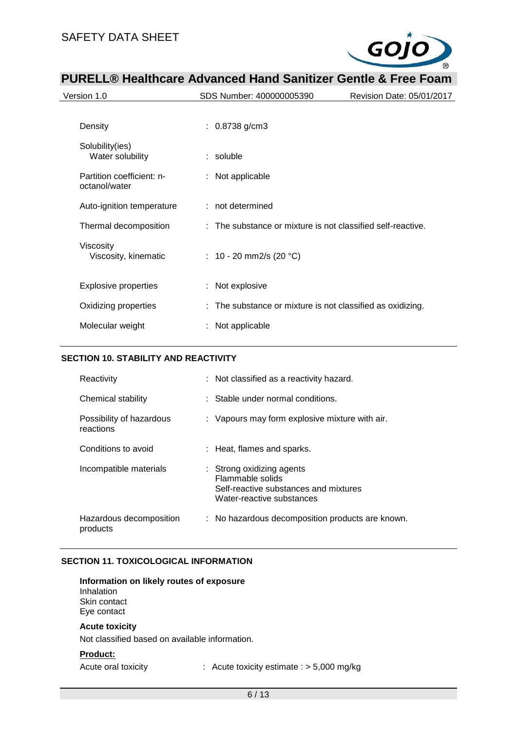

|                                            | r Uncello Hodnibaro Auvanocu nanu Udinieci Udinio u Fico i Udin |                           |
|--------------------------------------------|-----------------------------------------------------------------|---------------------------|
| Version 1.0                                | SDS Number: 400000005390                                        | Revision Date: 05/01/2017 |
|                                            |                                                                 |                           |
| Density                                    | $: 0.8738$ g/cm3                                                |                           |
| Solubility(ies)<br>Water solubility        | $:$ soluble                                                     |                           |
| Partition coefficient: n-<br>octanol/water | : Not applicable                                                |                           |
| Auto-ignition temperature                  | : not determined                                                |                           |
| Thermal decomposition                      | : The substance or mixture is not classified self-reactive.     |                           |
| Viscosity<br>Viscosity, kinematic          | : 10 - 20 mm2/s (20 $^{\circ}$ C)                               |                           |
| <b>Explosive properties</b>                | : Not explosive                                                 |                           |
| Oxidizing properties                       | : The substance or mixture is not classified as oxidizing.      |                           |
| Molecular weight                           | : Not applicable                                                |                           |

#### **SECTION 10. STABILITY AND REACTIVITY**

| Reactivity                            | : Not classified as a reactivity hazard.                                                                                |
|---------------------------------------|-------------------------------------------------------------------------------------------------------------------------|
| Chemical stability                    | Stable under normal conditions.                                                                                         |
| Possibility of hazardous<br>reactions | : Vapours may form explosive mixture with air.                                                                          |
| Conditions to avoid                   | : Heat, flames and sparks.                                                                                              |
| Incompatible materials                | Strong oxidizing agents<br>÷.<br>Flammable solids<br>Self-reactive substances and mixtures<br>Water-reactive substances |
| Hazardous decomposition<br>products   | : No hazardous decomposition products are known.                                                                        |

#### **SECTION 11. TOXICOLOGICAL INFORMATION**

#### **Information on likely routes of exposure** Inhalation

Skin contact Eye contact

#### **Acute toxicity**

Not classified based on available information.

#### **Product:**

Acute oral toxicity : Acute toxicity estimate : > 5,000 mg/kg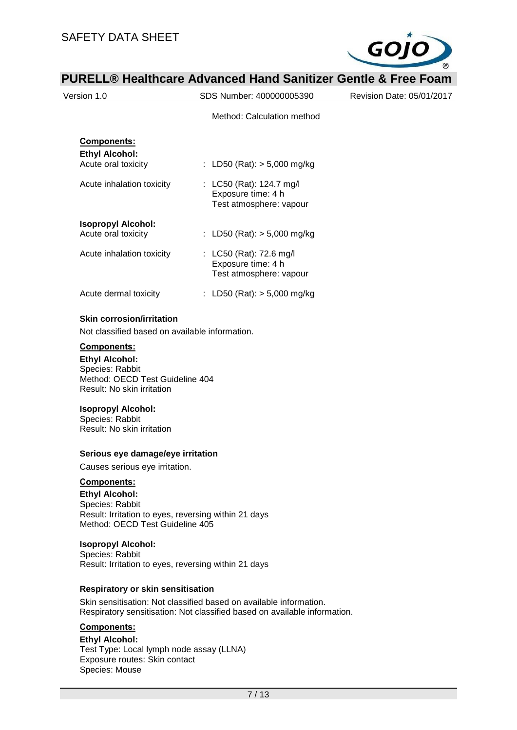Species: Mouse



|                                                                                                                                                                                         | <b>PURELL<sup>®</sup> Healthcare Advanced Hand Sanitizer Gentle &amp; Free Foam</b>                                                             |                           |
|-----------------------------------------------------------------------------------------------------------------------------------------------------------------------------------------|-------------------------------------------------------------------------------------------------------------------------------------------------|---------------------------|
| Version 1.0                                                                                                                                                                             | SDS Number: 400000005390                                                                                                                        | Revision Date: 05/01/2017 |
|                                                                                                                                                                                         | Method: Calculation method                                                                                                                      |                           |
| Components:                                                                                                                                                                             |                                                                                                                                                 |                           |
| <b>Ethyl Alcohol:</b>                                                                                                                                                                   |                                                                                                                                                 |                           |
| Acute oral toxicity                                                                                                                                                                     | : LD50 (Rat): $> 5,000$ mg/kg                                                                                                                   |                           |
| Acute inhalation toxicity                                                                                                                                                               | : LC50 (Rat): 124.7 mg/l<br>Exposure time: 4 h<br>Test atmosphere: vapour                                                                       |                           |
| <b>Isopropyl Alcohol:</b><br>Acute oral toxicity                                                                                                                                        | : LD50 (Rat): $> 5,000$ mg/kg                                                                                                                   |                           |
| Acute inhalation toxicity                                                                                                                                                               | : LC50 (Rat): 72.6 mg/l<br>Exposure time: 4 h<br>Test atmosphere: vapour                                                                        |                           |
| Acute dermal toxicity                                                                                                                                                                   | : LD50 (Rat): $> 5,000$ mg/kg                                                                                                                   |                           |
| <b>Skin corrosion/irritation</b>                                                                                                                                                        |                                                                                                                                                 |                           |
| Not classified based on available information.                                                                                                                                          |                                                                                                                                                 |                           |
| <b>Ethyl Alcohol:</b><br>Species: Rabbit<br>Method: OECD Test Guideline 404<br>Result: No skin irritation<br><b>Isopropyl Alcohol:</b><br>Species: Rabbit<br>Result: No skin irritation |                                                                                                                                                 |                           |
| Serious eye damage/eye irritation                                                                                                                                                       |                                                                                                                                                 |                           |
| Causes serious eye irritation.                                                                                                                                                          |                                                                                                                                                 |                           |
| Components:<br><b>Ethyl Alcohol:</b><br>Species: Rabbit<br>Result: Irritation to eyes, reversing within 21 days<br>Method: OECD Test Guideline 405                                      |                                                                                                                                                 |                           |
| <b>Isopropyl Alcohol:</b><br>Species: Rabbit<br>Result: Irritation to eyes, reversing within 21 days                                                                                    |                                                                                                                                                 |                           |
| Respiratory or skin sensitisation                                                                                                                                                       |                                                                                                                                                 |                           |
|                                                                                                                                                                                         | Skin sensitisation: Not classified based on available information.<br>Respiratory sensitisation: Not classified based on available information. |                           |
| Components:                                                                                                                                                                             |                                                                                                                                                 |                           |
| <b>Ethyl Alcohol:</b>                                                                                                                                                                   |                                                                                                                                                 |                           |
| Test Type: Local lymph node assay (LLNA)<br>Exposure routes: Skin contact                                                                                                               |                                                                                                                                                 |                           |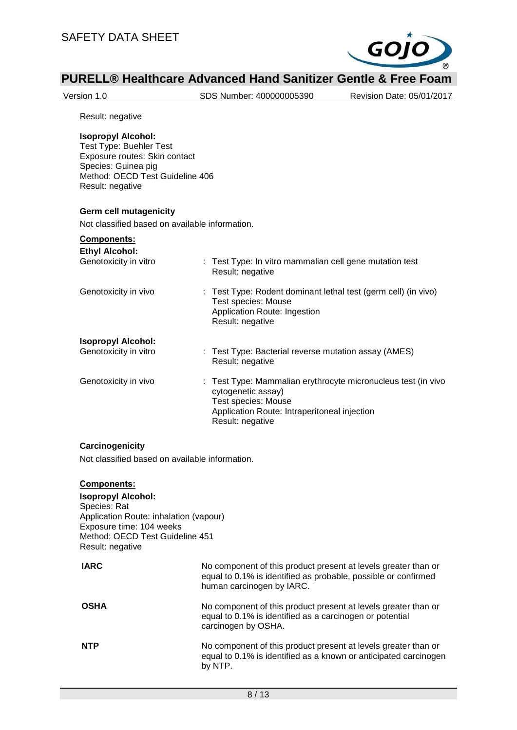

Version 1.0 SDS Number: 400000005390 Revision Date: 05/01/2017

Result: negative

#### **Isopropyl Alcohol:**

Test Type: Buehler Test Exposure routes: Skin contact Species: Guinea pig Method: OECD Test Guideline 406 Result: negative

#### **Germ cell mutagenicity**

Not classified based on available information.

#### **Components:**

| <b>Ethyl Alcohol:</b>     | : Test Type: In vitro mammalian cell gene mutation test                                                                                                                        |
|---------------------------|--------------------------------------------------------------------------------------------------------------------------------------------------------------------------------|
| Genotoxicity in vitro     | Result: negative                                                                                                                                                               |
| Genotoxicity in vivo      | : Test Type: Rodent dominant lethal test (germ cell) (in vivo)<br>Test species: Mouse<br>Application Route: Ingestion<br>Result: negative                                      |
| <b>Isopropyl Alcohol:</b> | : Test Type: Bacterial reverse mutation assay (AMES)                                                                                                                           |
| Genotoxicity in vitro     | Result: negative                                                                                                                                                               |
| Genotoxicity in vivo      | : Test Type: Mammalian erythrocyte micronucleus test (in vivo<br>cytogenetic assay)<br>Test species: Mouse<br>Application Route: Intraperitoneal injection<br>Result: negative |

#### **Carcinogenicity**

Not classified based on available information.

#### **Components:**

#### **Isopropyl Alcohol:** Species: Rat Application Route: inhalation (vapour) Exposure time: 104 weeks Method: OECD Test Guideline 451 Result: negative

| <b>IARC</b> | No component of this product present at levels greater than or<br>equal to 0.1% is identified as probable, possible or confirmed<br>human carcinogen by IARC. |
|-------------|---------------------------------------------------------------------------------------------------------------------------------------------------------------|
| <b>OSHA</b> | No component of this product present at levels greater than or<br>equal to 0.1% is identified as a carcinogen or potential<br>carcinogen by OSHA.             |
| <b>NTP</b>  | No component of this product present at levels greater than or<br>equal to 0.1% is identified as a known or anticipated carcinogen<br>by NTP.                 |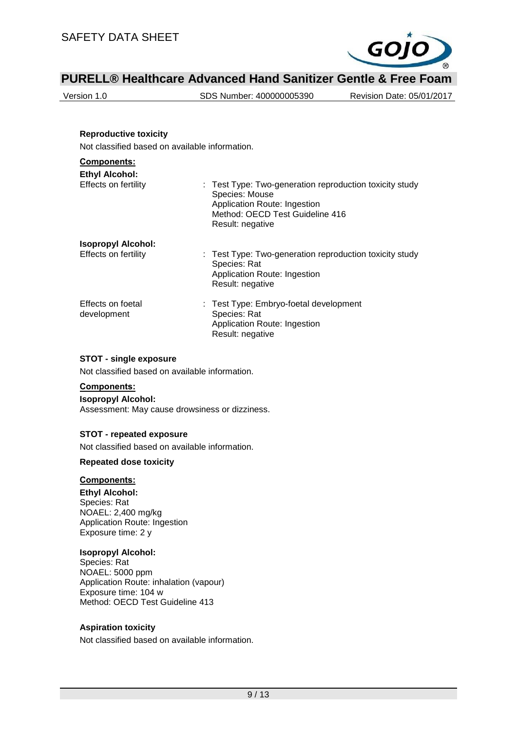

Version 1.0 SDS Number: 400000005390 Revision Date: 05/01/2017

#### **Reproductive toxicity**

Not classified based on available information.

## **Components:**

| <b>Ethyl Alcohol:</b><br>Effects on fertility     | : Test Type: Two-generation reproduction toxicity study<br>Species: Mouse<br>Application Route: Ingestion<br>Method: OECD Test Guideline 416<br>Result: negative |
|---------------------------------------------------|------------------------------------------------------------------------------------------------------------------------------------------------------------------|
| <b>Isopropyl Alcohol:</b><br>Effects on fertility | : Test Type: Two-generation reproduction toxicity study<br>Species: Rat<br>Application Route: Ingestion<br>Result: negative                                      |
| Effects on foetal<br>development                  | : Test Type: Embryo-foetal development<br>Species: Rat<br>Application Route: Ingestion<br>Result: negative                                                       |

#### **STOT - single exposure**

Not classified based on available information.

#### **Components:**

**Isopropyl Alcohol:** Assessment: May cause drowsiness or dizziness.

#### **STOT - repeated exposure**

Not classified based on available information.

#### **Repeated dose toxicity**

#### **Components:**

**Ethyl Alcohol:** Species: Rat NOAEL: 2,400 mg/kg Application Route: Ingestion Exposure time: 2 y

#### **Isopropyl Alcohol:**

Species: Rat NOAEL: 5000 ppm Application Route: inhalation (vapour) Exposure time: 104 w Method: OECD Test Guideline 413

#### **Aspiration toxicity**

Not classified based on available information.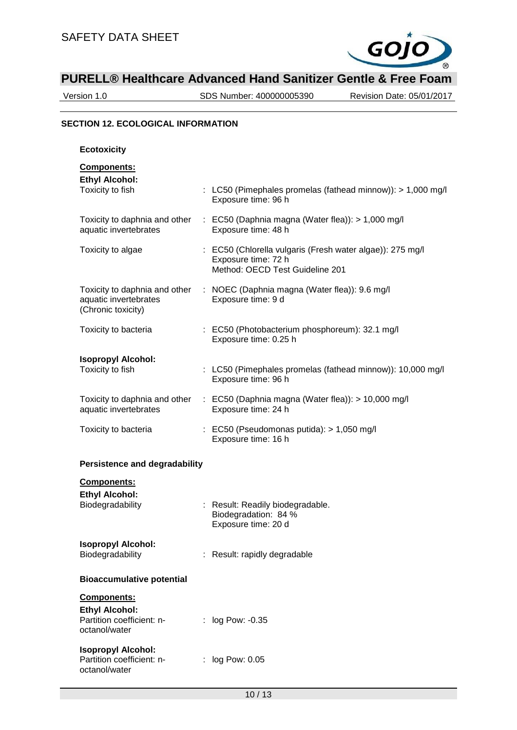

Version 1.0 SDS Number: 400000005390 Revision Date: 05/01/2017

#### **SECTION 12. ECOLOGICAL INFORMATION**

| <b>Ecotoxicity</b>                                                                 |                                                                                                                     |
|------------------------------------------------------------------------------------|---------------------------------------------------------------------------------------------------------------------|
| Components:<br><b>Ethyl Alcohol:</b><br>Toxicity to fish                           | : LC50 (Pimephales promelas (fathead minnow)): > 1,000 mg/l<br>Exposure time: 96 h                                  |
| Toxicity to daphnia and other<br>aquatic invertebrates                             | : EC50 (Daphnia magna (Water flea)): > 1,000 mg/l<br>Exposure time: 48 h                                            |
| Toxicity to algae                                                                  | : EC50 (Chlorella vulgaris (Fresh water algae)): 275 mg/l<br>Exposure time: 72 h<br>Method: OECD Test Guideline 201 |
| Toxicity to daphnia and other<br>aquatic invertebrates<br>(Chronic toxicity)       | : NOEC (Daphnia magna (Water flea)): 9.6 mg/l<br>Exposure time: 9 d                                                 |
| Toxicity to bacteria                                                               | : EC50 (Photobacterium phosphoreum): 32.1 mg/l<br>Exposure time: 0.25 h                                             |
| <b>Isopropyl Alcohol:</b><br>Toxicity to fish                                      | : LC50 (Pimephales promelas (fathead minnow)): 10,000 mg/l<br>Exposure time: 96 h                                   |
| Toxicity to daphnia and other<br>aquatic invertebrates                             | : EC50 (Daphnia magna (Water flea)): > 10,000 mg/l<br>Exposure time: 24 h                                           |
| Toxicity to bacteria                                                               | : EC50 (Pseudomonas putida): > 1,050 mg/l<br>Exposure time: 16 h                                                    |
| <b>Persistence and degradability</b>                                               |                                                                                                                     |
| <b>Components:</b><br><b>Ethyl Alcohol:</b><br>Biodegradability                    | : Result: Readily biodegradable.<br>Biodegradation: 84 %<br>Exposure time: 20 d                                     |
| <b>Isopropyl Alcohol:</b><br>Biodegradability                                      | : Result: rapidly degradable                                                                                        |
| <b>Bioaccumulative potential</b>                                                   |                                                                                                                     |
| Components:<br><b>Ethyl Alcohol:</b><br>Partition coefficient: n-<br>octanol/water | : log Pow: -0.35                                                                                                    |
| <b>Isopropyl Alcohol:</b><br>Partition coefficient: n-<br>octanol/water            | log Pow: 0.05                                                                                                       |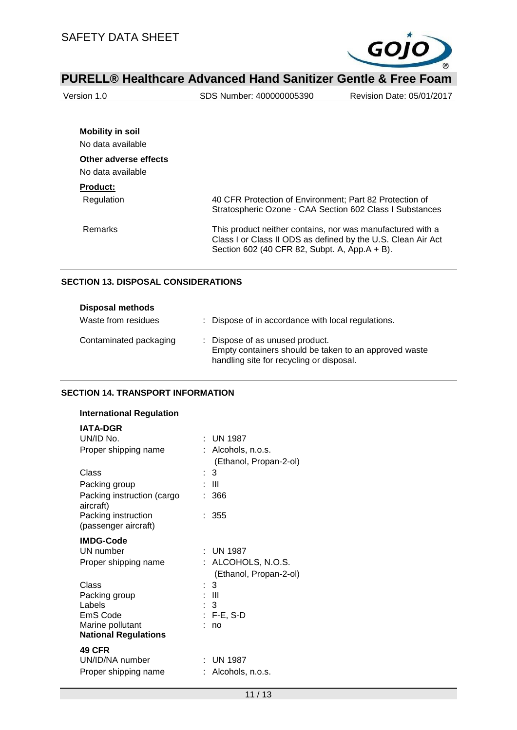

| Version 1.0             | SDS Number: 400000005390                                                                                                                                                    | Revision Date: 05/01/2017 |
|-------------------------|-----------------------------------------------------------------------------------------------------------------------------------------------------------------------------|---------------------------|
|                         |                                                                                                                                                                             |                           |
| <b>Mobility in soil</b> |                                                                                                                                                                             |                           |
| No data available       |                                                                                                                                                                             |                           |
| Other adverse effects   |                                                                                                                                                                             |                           |
| No data available       |                                                                                                                                                                             |                           |
| <b>Product:</b>         |                                                                                                                                                                             |                           |
| Regulation              | 40 CFR Protection of Environment; Part 82 Protection of<br>Stratospheric Ozone - CAA Section 602 Class I Substances                                                         |                           |
| Remarks                 | This product neither contains, nor was manufactured with a<br>Class I or Class II ODS as defined by the U.S. Clean Air Act<br>Section 602 (40 CFR 82, Subpt. A, App.A + B). |                           |

#### **SECTION 13. DISPOSAL CONSIDERATIONS**

| <b>Disposal methods</b> |                                                                                                                                      |
|-------------------------|--------------------------------------------------------------------------------------------------------------------------------------|
| Waste from residues     | : Dispose of in accordance with local regulations.                                                                                   |
| Contaminated packaging  | : Dispose of as unused product.<br>Empty containers should be taken to an approved waste<br>handling site for recycling or disposal. |

#### **SECTION 14. TRANSPORT INFORMATION**

| <b>International Regulation</b>                                                                              |                                                                                                           |
|--------------------------------------------------------------------------------------------------------------|-----------------------------------------------------------------------------------------------------------|
| IATA-DGR<br>UN/ID No.<br>Proper shipping name<br>Class                                                       | $\cdot$ UN 1987<br>: Alcohols, n.o.s.<br>(Ethanol, Propan-2-ol)                                           |
| Packing group                                                                                                | : 3<br>- 111                                                                                              |
| Packing instruction (cargo<br>aircraft)                                                                      | : 366                                                                                                     |
| Packing instruction<br>(passenger aircraft)                                                                  | : 355                                                                                                     |
| <b>IMDG-Code</b><br>UN number<br>Proper shipping name<br>Class<br>Packing group<br>Labels<br><b>EmS Code</b> | $:$ UN 1987<br>ALCOHOLS, N.O.S.<br>(Ethanol, Propan-2-ol)<br>: 3<br>: III<br>$\therefore$ 3<br>: F-E, S-D |
| Marine pollutant<br><b>National Regulations</b>                                                              | no                                                                                                        |
| <b>49 CFR</b><br>UN/ID/NA number<br>Proper shipping name                                                     | $:$ UN 1987<br>Alcohols, n.o.s.                                                                           |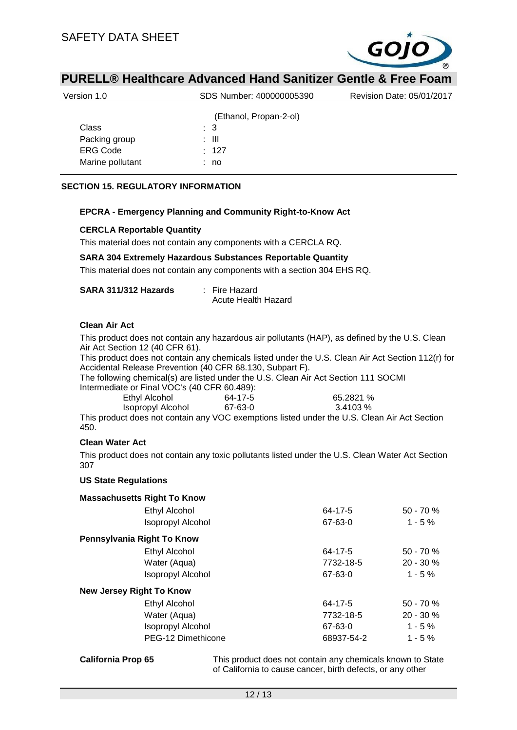

| Version 1.0      | SDS Number: 400000005390 | Revision Date: 05/01/2017 |
|------------------|--------------------------|---------------------------|
|                  | (Ethanol, Propan-2-ol)   |                           |
|                  |                          |                           |
| Class            | : 3                      |                           |
| Packing group    | : III                    |                           |
| <b>ERG Code</b>  | : 127                    |                           |
| Marine pollutant | : no                     |                           |

#### **SECTION 15. REGULATORY INFORMATION**

#### **EPCRA - Emergency Planning and Community Right-to-Know Act**

#### **CERCLA Reportable Quantity**

This material does not contain any components with a CERCLA RQ.

#### **SARA 304 Extremely Hazardous Substances Reportable Quantity**

This material does not contain any components with a section 304 EHS RQ.

| SARA 311/312 Hazards | : Fire Hazard       |
|----------------------|---------------------|
|                      | Acute Health Hazard |

#### **Clean Air Act**

This product does not contain any hazardous air pollutants (HAP), as defined by the U.S. Clean Air Act Section 12 (40 CFR 61).

This product does not contain any chemicals listed under the U.S. Clean Air Act Section 112(r) for Accidental Release Prevention (40 CFR 68.130, Subpart F).

The following chemical(s) are listed under the U.S. Clean Air Act Section 111 SOCMI Intermediate or Final VOC's (40 CFR 60.489):

| $\frac{1}{2}$     |         |           |
|-------------------|---------|-----------|
| Ethyl Alcohol     | 64-17-5 | 65.2821 % |
| Isopropyl Alcohol | 67-63-0 | 3.4103 %  |

This product does not contain any VOC exemptions listed under the U.S. Clean Air Act Section 450.

#### **Clean Water Act**

This product does not contain any toxic pollutants listed under the U.S. Clean Water Act Section 307

#### **US State Regulations**

| <b>Massachusetts Right To Know</b> |            |              |
|------------------------------------|------------|--------------|
| Ethyl Alcohol                      | 64-17-5    | $50 - 70 \%$ |
| <b>Isopropyl Alcohol</b>           | 67-63-0    | $1 - 5 \%$   |
| Pennsylvania Right To Know         |            |              |
| Ethyl Alcohol                      | 64-17-5    | $50 - 70 \%$ |
| Water (Aqua)                       | 7732-18-5  | $20 - 30 \%$ |
| <b>Isopropyl Alcohol</b>           | 67-63-0    | $1 - 5%$     |
| <b>New Jersey Right To Know</b>    |            |              |
| Ethyl Alcohol                      | 64-17-5    | $50 - 70 \%$ |
| Water (Aqua)                       | 7732-18-5  | $20 - 30 \%$ |
| <b>Isopropyl Alcohol</b>           | 67-63-0    | $1 - 5 \%$   |
| PEG-12 Dimethicone                 | 68937-54-2 | $1 - 5 \%$   |

**California Prop 65** This product does not contain any chemicals known to State of California to cause cancer, birth defects, or any other